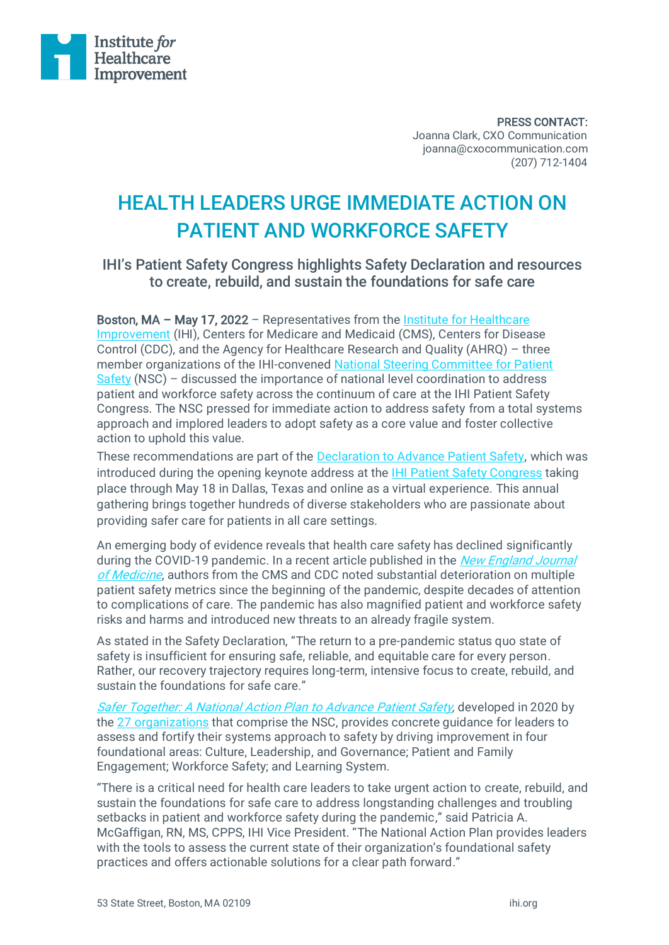

PRESS CONTACT: Joanna Clark, CXO Communication joanna@cxocommunication.com (207) 712-1404

## HEALTH LEADERS URGE IMMEDIATE ACTION ON PATIENT AND WORKFORCE SAFETY

## IHI's Patient Safety Congress highlights Safety Declaration and resources to create, rebuild, and sustain the foundations for safe care

Boston, MA - May 17, 2022 - Representatives from the Institute for Healthcare [Improvement](http://www.ihi.org/) (IHI), Centers for Medicare and Medicaid (CMS), Centers for Disease Control (CDC), and the Agency for Healthcare Research and Quality (AHRQ) – three member organizations of the IHI-convened [National Steering Committee for Patient](http://www.ihi.org/Engage/Initiatives/National-Steering-Committee-Patient-Safety/Pages/default.aspx)  [Safety](http://www.ihi.org/Engage/Initiatives/National-Steering-Committee-Patient-Safety/Pages/default.aspx) (NSC) – discussed the importance of national level coordination to address patient and workforce safety across the continuum of care at the IHI Patient Safety Congress. The NSC pressed for immediate action to address safety from a total systems approach and implored leaders to adopt safety as a core value and foster collective action to uphold this value.

These recommendations are part of the [Declaration to Advance Patient Safety,](http://www.ihi.org/Engage/Initiatives/National-Steering-Committee-Patient-Safety/Pages/Declaration-to-Advance-Patient-Safety.aspx) which was introduced during the opening keynote address at the **IHI Patient Safety Congress taking** place through May 18 in Dallas, Texas and online as a virtual experience. This annual gathering brings together hundreds of diverse stakeholders who are passionate about providing safer care for patients in all care settings.

An emerging body of evidence reveals that health care safety has declined significantly during the COVID-19 pandemic. In a recent article published in the *New England Journal* [of Medicine](https://www.nejm.org/doi/full/10.1056/NEJMp2118285), authors from the CMS and CDC noted substantial deterioration on multiple patient safety metrics since the beginning of the pandemic, despite decades of attention to complications of care. The pandemic has also magnified patient and workforce safety risks and harms and introduced new threats to an already fragile system.

As stated in the Safety Declaration, "The return to a pre-pandemic status quo state of safety is insufficient for ensuring safe, reliable, and equitable care for every person. Rather, our recovery trajectory requires long-term, intensive focus to create, rebuild, and sustain the foundations for safe care."

[Safer Together: A National Action Plan to Advance](http://www.ihi.org/Engage/Initiatives/National-Steering-Committee-Patient-Safety/Pages/National-Action-Plan-to-Advance-Patient-Safety.aspx) Patient Safety, developed in 2020 by the [27 organizations](http://www.ihi.org/Engage/Initiatives/National-Steering-Committee-Patient-Safety/Pages/Members.aspx) that comprise the NSC, provides concrete guidance for leaders to assess and fortify their systems approach to safety by driving improvement in four foundational areas: Culture, Leadership, and Governance; Patient and Family Engagement; Workforce Safety; and Learning System.

"There is a critical need for health care leaders to take urgent action to create, rebuild, and sustain the foundations for safe care to address longstanding challenges and troubling setbacks in patient and workforce safety during the pandemic," said Patricia A. McGaffigan, RN, MS, CPPS, IHI Vice President. "The National Action Plan provides leaders with the tools to assess the current state of their organization's foundational safety practices and offers actionable solutions for a clear path forward."